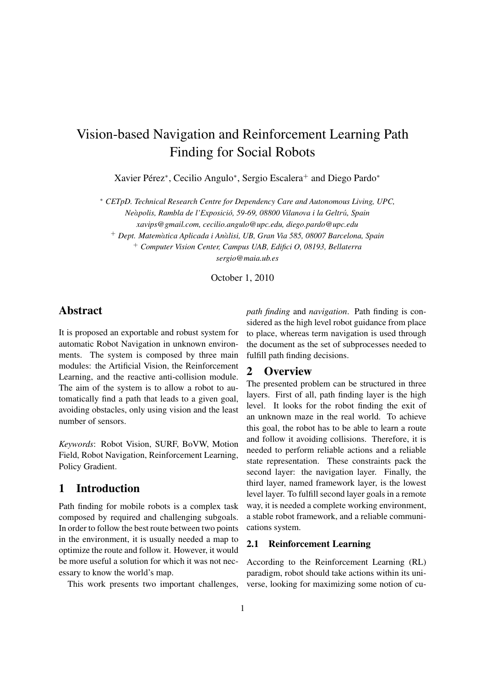# Vision-based Navigation and Reinforcement Learning Path Finding for Social Robots

Xavier Pérez\*, Cecilio Angulo\*, Sergio Escalera<sup>+</sup> and Diego Pardo\*

<sup>∗</sup> *CETpD. Technical Research Centre for Dependency Care and Autonomous Living, UPC, Ne*a`*polis, Rambla de l'Exposicio, 59-69, 08800 Vilanova i la Geltr ´* u´*, Spain*

*xavips@gmail.com, cecilio.angulo@upc.edu, diego.pardo@upc.edu*

<sup>+</sup> *Dept. Matem*a`*tica Aplicada i An*a`*lisi, UB, Gran Via 585, 08007 Barcelona, Spain*

<sup>+</sup> *Computer Vision Center, Campus UAB, Edifici O, 08193, Bellaterra sergio@maia.ub.es*

October 1, 2010

# Abstract

It is proposed an exportable and robust system for automatic Robot Navigation in unknown environments. The system is composed by three main modules: the Artificial Vision, the Reinforcement Learning, and the reactive anti-collision module. The aim of the system is to allow a robot to automatically find a path that leads to a given goal, avoiding obstacles, only using vision and the least number of sensors.

*Keywords*: Robot Vision, SURF, BoVW, Motion Field, Robot Navigation, Reinforcement Learning, Policy Gradient.

# 1 Introduction

Path finding for mobile robots is a complex task composed by required and challenging subgoals. In order to follow the best route between two points in the environment, it is usually needed a map to optimize the route and follow it. However, it would be more useful a solution for which it was not necessary to know the world's map.

This work presents two important challenges,

*path finding* and *navigation*. Path finding is considered as the high level robot guidance from place to place, whereas term navigation is used through the document as the set of subprocesses needed to fulfill path finding decisions.

# 2 Overview

The presented problem can be structured in three layers. First of all, path finding layer is the high level. It looks for the robot finding the exit of an unknown maze in the real world. To achieve this goal, the robot has to be able to learn a route and follow it avoiding collisions. Therefore, it is needed to perform reliable actions and a reliable state representation. These constraints pack the second layer: the navigation layer. Finally, the third layer, named framework layer, is the lowest level layer. To fulfill second layer goals in a remote way, it is needed a complete working environment, a stable robot framework, and a reliable communications system.

### 2.1 Reinforcement Learning

According to the Reinforcement Learning (RL) paradigm, robot should take actions within its universe, looking for maximizing some notion of cu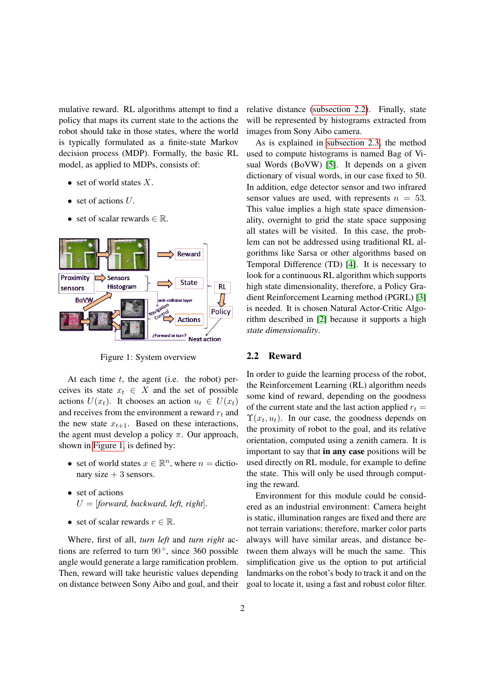mulative reward. RL algorithms attempt to find a policy that maps its current state to the actions the robot should take in those states, where the world is typically formulated as a finite-state Markov decision process (MDP). Formally, the basic RL model, as applied to MDPs, consists of:

- set of world states  $X$ .
- set of actions  $U$ .
- set of scalar rewards  $\in \mathbb{R}$ .



<span id="page-1-0"></span>Figure 1: System overview

At each time  $t$ , the agent (i.e. the robot) perceives its state  $x_t \in X$  and the set of possible actions  $U(x_t)$ . It chooses an action  $u_t \in U(x_t)$ and receives from the environment a reward  $r_t$  and the new state  $x_{t+1}$ . Based on these interactions, the agent must develop a policy  $\pi$ . Our approach, shown in [Figure 1,](#page-1-0) is defined by:

- set of world states  $x \in \mathbb{R}^n$ , where  $n =$  dictionary size  $+3$  sensors.
- set of actions U = [*forward, backward, left, right*].
- set of scalar rewards  $r \in \mathbb{R}$ .

Where, first of all, *turn left* and *turn right* actions are referred to turn  $90^\circ$ , since 360 possible angle would generate a large ramification problem. Then, reward will take heuristic values depending on distance between Sony Aibo and goal, and their relative distance [\(subsection 2.2\)](#page-1-1). Finally, state will be represented by histograms extracted from images from Sony Aibo camera.

As is explained in [subsection 2.3,](#page-2-0) the method used to compute histograms is named Bag of Visual Words (BoVW) [\[5\]](#page-3-0). It depends on a given dictionary of visual words, in our case fixed to 50. In addition, edge detector sensor and two infrared sensor values are used, with represents  $n = 53$ . This value implies a high state space dimensionality, overnight to grid the state space supposing all states will be visited. In this case, the problem can not be addressed using traditional RL algorithms like Sarsa or other algorithms based on Temporal Difference (TD) [\[4\]](#page-3-1). It is necessary to look for a continuous RL algorithm which supports high state dimensionality, therefore, a Policy Gradient Reinforcement Learning method (PGRL) [\[3\]](#page-3-2) is needed. It is chosen Natural Actor-Critic Algorithm described in [\[2\]](#page-3-3) because it supports a high *state dimensionality*.

#### <span id="page-1-1"></span>2.2 Reward

In order to guide the learning process of the robot, the Reinforcement Learning (RL) algorithm needs some kind of reward, depending on the goodness of the current state and the last action applied  $r_t =$  $\Upsilon(x_t, u_t)$ . In our case, the goodness depends on the proximity of robot to the goal, and its relative orientation, computed using a zenith camera. It is important to say that in any case positions will be used directly on RL module, for example to define the state. This will only be used through computing the reward.

Environment for this module could be considered as an industrial environment: Camera height is static, illumination ranges are fixed and there are not terrain variations; therefore, marker color parts always will have similar areas, and distance between them always will be much the same. This simplification give us the option to put artificial landmarks on the robot's body to track it and on the goal to locate it, using a fast and robust color filter.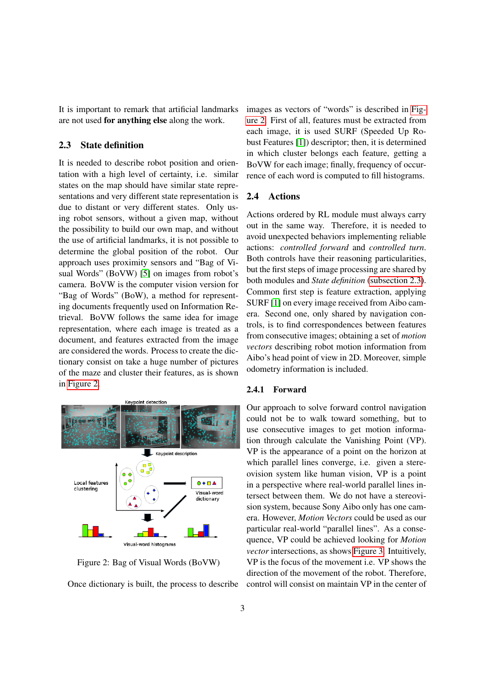It is important to remark that artificial landmarks are not used for anything else along the work.

#### <span id="page-2-0"></span>2.3 State definition

It is needed to describe robot position and orientation with a high level of certainty, i.e. similar states on the map should have similar state representations and very different state representation is due to distant or very different states. Only using robot sensors, without a given map, without the possibility to build our own map, and without the use of artificial landmarks, it is not possible to determine the global position of the robot. Our approach uses proximity sensors and "Bag of Visual Words" (BoVW) [\[5\]](#page-3-0) on images from robot's camera. BoVW is the computer vision version for "Bag of Words" (BoW), a method for representing documents frequently used on Information Retrieval. BoVW follows the same idea for image representation, where each image is treated as a document, and features extracted from the image are considered the words. Process to create the dictionary consist on take a huge number of pictures of the maze and cluster their features, as is shown in [Figure 2.](#page-2-1)



<span id="page-2-1"></span>Figure 2: Bag of Visual Words (BoVW)

Once dictionary is built, the process to describe

images as vectors of "words" is described in [Fig](#page-2-1)[ure 2.](#page-2-1) First of all, features must be extracted from each image, it is used SURF (Speeded Up Robust Features [\[1\]](#page-3-4)) descriptor; then, it is determined in which cluster belongs each feature, getting a BoVW for each image; finally, frequency of occurrence of each word is computed to fill histograms.

#### 2.4 Actions

Actions ordered by RL module must always carry out in the same way. Therefore, it is needed to avoid unexpected behaviors implementing reliable actions: *controlled forward* and *controlled turn*. Both controls have their reasoning particularities, but the first steps of image processing are shared by both modules and *State definition* [\(subsection 2.3\)](#page-2-0). Common first step is feature extraction, applying SURF [\[1\]](#page-3-4) on every image received from Aibo camera. Second one, only shared by navigation controls, is to find correspondences between features from consecutive images; obtaining a set of *motion vectors* describing robot motion information from Aibo's head point of view in 2D. Moreover, simple odometry information is included.

#### 2.4.1 Forward

Our approach to solve forward control navigation could not be to walk toward something, but to use consecutive images to get motion information through calculate the Vanishing Point (VP). VP is the appearance of a point on the horizon at which parallel lines converge, i.e. given a stereovision system like human vision, VP is a point in a perspective where real-world parallel lines intersect between them. We do not have a stereovision system, because Sony Aibo only has one camera. However, *Motion Vectors* could be used as our particular real-world "parallel lines". As a consequence, VP could be achieved looking for *Motion vector* intersections, as shows [Figure 3.](#page-3-5) Intuitively, VP is the focus of the movement i.e. VP shows the direction of the movement of the robot. Therefore, control will consist on maintain VP in the center of